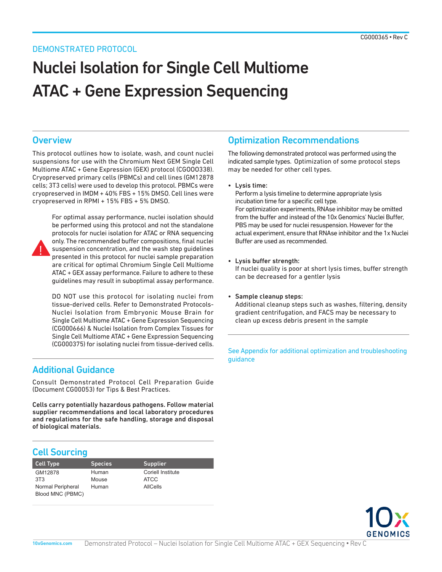### DEMONSTRATED PROTOCOL

# Nuclei Isolation for Single Cell Multiome ATAC + Gene Expression Sequencing

### **Overview**

This protocol outlines how to isolate, wash, and count nuclei suspensions for use with the Chromium Next GEM Single Cell Multiome ATAC + Gene Expression (GEX) protocol (CGOOO338). Cryopreserved primary cells (PBMCs) and cell lines (GM12878 cells; 3T3 cells) were used to develop this protocol. PBMCs were cryopreserved in IMDM + 40% FBS + 15% DMSO. Cell lines were cryopreserved in RPMI + 15% FBS + 5% DMSO.



For optimal assay performance, nuclei isolation should be performed using this protocol and not the standalone protocols for nuclei isolation for ATAC or RNA sequencing only. The recommended buffer compositions, final nuclei suspension concentration, and the wash step guidelines presented in this protocol for nuclei sample preparation are critical for optimal Chromium Single Cell Multiome ATAC + GEX assay performance. Failure to adhere to these guidelines may result in suboptimal assay performance.

DO NOT use this protocol for isolating nuclei from tissue-derived cells. Refer to Demonstrated Protocols-Nuclei Isolation from Embryonic Mouse Brain for Single Cell Multiome ATAC + Gene Expression Sequencing (CG000666) & Nuclei Isolation from Complex Tissues for Single Cell Multiome ATAC + Gene Expression Sequencing (CG000375) for isolating nuclei from tissue-derived cells.

### Additional Guidance

Consult Demonstrated Protocol Cell Preparation Guide (Document CG00053) for Tips & Best Practices.

Cells carry potentially hazardous pathogens. Follow material supplier recommendations and local laboratory procedures and regulations for the safe handling, storage and disposal of biological materials.

### Cell Sourcing

| <b>Cell Type</b>  | <b>Species</b> | Supplier                 |
|-------------------|----------------|--------------------------|
| GM12878           | Human          | <b>Coriell Institute</b> |
| 3T3               | Mouse          | <b>ATCC</b>              |
| Normal Peripheral | Human          | AllCells                 |
| Blood MNC (PBMC)  |                |                          |

### Optimization Recommendations

The following demonstrated protocol was performed using the indicated sample types. Optimization of some protocol steps may be needed for other cell types.

• Lysis time:

Perform a lysis timeline to determine appropriate lysis incubation time for a specific cell type. For optimization experiments, RNAse inhibitor may be omitted from the buffer and instead of the 10x Genomics' Nuclei Buffer, PBS may be used for nuclei resuspension. However for the actual experiment, ensure that RNAse inhibitor and the 1x Nuclei Buffer are used as recommended.

• Lysis buffer strength:

If nuclei quality is poor at short lysis times, buffer strength can be decreased for a gentler lysis

• Sample cleanup steps:

Additional cleanup steps such as washes, filtering, density gradient centrifugation, and FACS may be necessary to clean up excess debris present in the sample

See Appendix for additional optimization and troubleshooting guidance

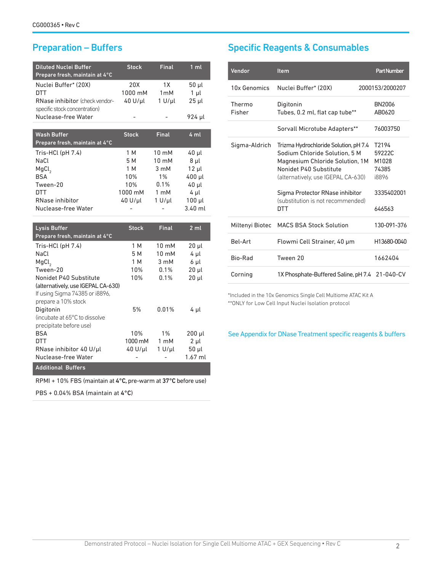| <b>Diluted Nuclei Buffer</b><br>Prepare fresh, maintain at 4°C | <b>Stock</b> | <b>Final</b>             | 1 <sub>m</sub>    |
|----------------------------------------------------------------|--------------|--------------------------|-------------------|
| Nuclei Buffer* (20X)                                           | 20X          | 1 X                      | 50 µl             |
| <b>DTT</b>                                                     | 1000 mM      | 1 <sub>m</sub> M         | $1\mu$            |
| RNase inhibitor (check vendor-                                 | 40 U/µl      | $1 U/ \mu l$             | $25$ µl           |
| specific stock concentration)<br>Nuclease-free Water           |              |                          | 924 µl            |
|                                                                |              |                          |                   |
| <b>Wash Buffer</b>                                             | <b>Stock</b> | <b>Final</b>             | 4ml               |
| Prepare fresh, maintain at 4°C                                 |              |                          |                   |
| Tris-HCl (pH 7.4)                                              | 1 M          | 10 mM                    | 40 µl             |
| NaCl                                                           | 5 M          | $10 \text{ mM}$          | $8$ µl            |
| MgCl <sub>2</sub>                                              | 1 M          | 3 mM                     | $12 \mu l$        |
| <b>BSA</b>                                                     | 10%          | $1\%$                    | 400 µl            |
| Tween-20                                                       | 10%          | 0.1%                     | 40 µl             |
| <b>DTT</b>                                                     | 1000 mM      | 1 mM                     | 4 µl              |
| RNase inhibitor                                                | 40 U/µl      | $1 U/ \mu l$             | $100$ $\mu$       |
| Nuclease-free Water                                            |              |                          | $3.40$ ml         |
|                                                                |              |                          |                   |
| <b>Lysis Buffer</b><br>Prepare fresh, maintain at 4°C          | <b>Stock</b> | <b>Final</b>             | 2 <sub>m</sub>    |
|                                                                |              |                          |                   |
| Tris-HCl (pH 7.4)<br>NaCl                                      | 1 M<br>5 M   | $10 \text{ mM}$<br>10 mM | 20 µl             |
| MgCl <sub>2</sub>                                              | 1 M          | 3 mM                     | 4 µl<br>$6 \mu l$ |
| Tween-20                                                       | 10%          | 0.1%                     | $20$ $\mu$        |
| Nonidet P40 Substitute                                         | 10%          | 0.1%                     | 20 µl             |
| (alternatively, use IGEPAL CA-630)                             |              |                          |                   |
| If using Sigma 74385 or i8896,                                 |              |                          |                   |
| prepare a 10% stock                                            |              |                          |                   |
| Digitonin                                                      | 5%           | 0.01%                    | 4 µl              |
| (incubate at 65°C to dissolve                                  |              |                          |                   |
| precipitate before use)                                        |              |                          |                   |
| <b>BSA</b>                                                     | 10%          | $1\%$                    | $200$ $\mu$       |
| <b>DTT</b>                                                     | 1000 mM      | 1 mM                     | $2 \mu l$         |
| RNase inhibitor 40 U/µl                                        | 40 U/µl      | $1 U/ \mu l$             | 50 µl             |
| Nuclease-free Water                                            |              |                          | 1.67 ml           |
| <b>Additional Buffers</b>                                      |              |                          |                   |
|                                                                |              |                          |                   |

RPMI + 10% FBS (maintain at 4°C, pre-warm at 37°C before use)

PBS + 0.04% BSA (maintain at 4°C)

## Preparation – Buffers Specific Reagents & Consumables

| <u>Vendor</u>    | Item                                                                                                                                                                                                                                                            | <b>Part Number</b>                                                             |
|------------------|-----------------------------------------------------------------------------------------------------------------------------------------------------------------------------------------------------------------------------------------------------------------|--------------------------------------------------------------------------------|
| 10x Genomics     | Nuclei Buffer* (20X)                                                                                                                                                                                                                                            | 2000153/2000207                                                                |
| Thermo<br>Fisher | Digitonin<br>Tubes, 0.2 ml, flat cap tube**                                                                                                                                                                                                                     | <b>BN2006</b><br>AB0620                                                        |
|                  | Sorvall Microtube Adapters**                                                                                                                                                                                                                                    | 76003750                                                                       |
| Sigma-Aldrich    | Trizma Hydrochloride Solution, pH 7.4<br>Sodium Chloride Solution. 5 M<br>Magnesium Chloride Solution, 1M<br>Nonidet P40 Substitute<br>(alternatively, use IGEPAL CA-630)<br>Sigma Protector RNase inhibitor<br>(substitution is not recommended)<br><b>DTT</b> | T <sub>2194</sub><br>59222C<br>M1028<br>74385<br>i8896<br>3335402001<br>646563 |
| Miltenyi Biotec  | <b>MACS BSA Stock Solution</b>                                                                                                                                                                                                                                  | 130-091-376                                                                    |
| <b>Bel-Art</b>   | Flowmi Cell Strainer, 40 µm                                                                                                                                                                                                                                     | H13680-0040                                                                    |
| Bio-Rad          | Tween 20                                                                                                                                                                                                                                                        | 1662404                                                                        |
| Corning          | 1X Phosphate-Buffered Saline, pH 7.4                                                                                                                                                                                                                            | 21-040-CV                                                                      |

\*Included in the 10x Genomics Single Cell Multiome ATAC Kit A \*\*ONLY for Low Cell Input Nuclei Isolation protocol

See Appendix for DNase Treatment specific reagents & buffers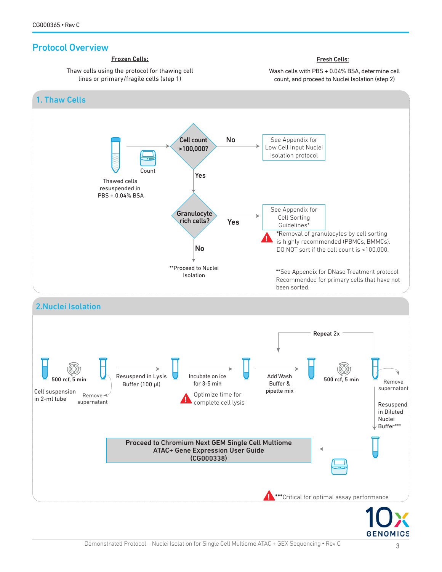### Protocol Overview



**GENOMICS**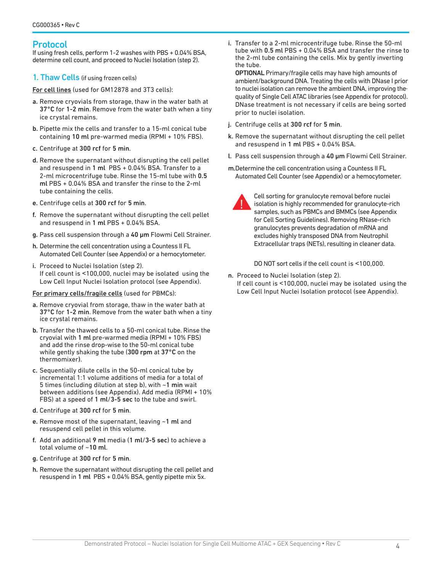### Protocol

If using fresh cells, perform 1-2 washes with PBS + 0.04% BSA, determine cell count, and proceed to Nuclei Isolation (step 2).

1. Thaw Cells (if using frozen cells)

For cell lines (used for GM12878 and 3T3 cells):

- a. Remove cryovials from storage, thaw in the water bath at 37°C for 1-2 min. Remove from the water bath when a tiny ice crystal remains.
- b. Pipette mix the cells and transfer to a 15-ml conical tube containing 10 ml pre-warmed media (RPMI + 10% FBS).
- c. Centrifuge at 300 rcf for 5 min.
- d. Remove the supernatant without disrupting the cell pellet and resuspend in 1 ml PBS + 0.04% BSA. Transfer to a 2-ml microcentrifuge tube. Rinse the 15-ml tube with 0.5 ml PBS + 0.04% BSA and transfer the rinse to the 2-ml tube containing the cells.
- e. Centrifuge cells at 300 rcf for 5 min.
- f. Remove the supernatant without disrupting the cell pellet and resuspend in 1 ml PBS + 0.04% BSA.
- g. Pass cell suspension through a 40 um Flowmi Cell Strainer.
- h. Determine the cell concentration using a Countess II FL Automated Cell Counter (see Appendix) or a hemocytometer.
- i. Proceed to Nuclei Isolation (step 2). If cell count is ˂100,000, nuclei may be isolated using the Low Cell Input Nuclei Isolation protocol (see Appendix).

#### For primary cells/fragile cells (used for PBMCs):

- a. Remove cryovial from storage, thaw in the water bath at 37°C for 1-2 min. Remove from the water bath when a tiny ice crystal remains.
- b. Transfer the thawed cells to a 50-ml conical tube. Rinse the cryovial with 1 ml pre-warmed media (RPMI + 10% FBS) and add the rinse drop-wise to the 50-ml conical tube while gently shaking the tube (300 rpm at 37°C on the thermomixer).
- c. Sequentially dilute cells in the 50-ml conical tube by incremental 1:1 volume additions of media for a total of 5 times (including dilution at step b), with ~1 min wait between additions (see Appendix). Add media (RPMI + 10% FBS) at a speed of 1 ml/3-5 sec to the tube and swirl.
- d. Centrifuge at 300 rcf for 5 min.
- e. Remove most of the supernatant, leaving ~1 ml and resuspend cell pellet in this volume.
- f. Add an additional 9 ml media (1 ml/3-5 sec) to achieve a total volume of ~10 ml.
- g. Centrifuge at 300 rcf for 5 min.
- h. Remove the supernatant without disrupting the cell pellet and resuspend in 1 ml PBS + 0.04% BSA, gently pipette mix 5x.

i. Transfer to a 2-ml microcentrifuge tube. Rinse the 50-ml tube with 0.5 ml PBS + 0.04% BSA and transfer the rinse to the 2-ml tube containing the cells. Mix by gently inverting the tube.

OPTIONAL Primary/fragile cells may have high amounts of ambient/background DNA. Treating the cells with DNase I prior to nuclei isolation can remove the ambient DNA, improving the quality of Single Cell ATAC libraries (see Appendix for protocol). DNase treatment is not necessary if cells are being sorted prior to nuclei isolation.

- j. Centrifuge cells at 300 rcf for 5 min.
- k. Remove the supernatant without disrupting the cell pellet and resuspend in 1 ml PBS + 0.04% BSA.
- l. Pass cell suspension through a 40 µm Flowmi Cell Strainer.
- m.Determine the cell concentration using a Countess II FL Automated Cell Counter (see Appendix) or a hemocytometer.



Cell sorting for granulocyte removal before nuclei isolation is highly recommended for granulocyte-rich samples, such as PBMCs and BMMCs (see Appendix for Cell Sorting Guidelines). Removing RNase-rich granulocytes prevents degradation of mRNA and excludes highly transposed DNA from Neutrophil Extracellular traps (NETs), resulting in cleaner data.

DO NOT sort cells if the cell count is ˂100,000.

- n. Proceed to Nuclei Isolation (step 2).
- If cell count is ˂100,000, nuclei may be isolated using the Low Cell Input Nuclei Isolation protocol (see Appendix).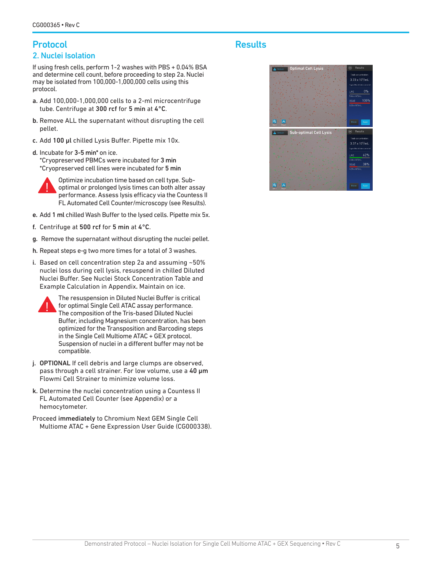### Protocol 2. Nuclei Isolation

If using fresh cells, perform 1-2 washes with PBS + 0.04% BSA and determine cell count, before proceeding to step 2a. Nuclei may be isolated from 100,000-1,000,000 cells using this protocol.

- a. Add 100,000-1,000,000 cells to a 2-ml microcentrifuge tube. Centrifuge at 300 rcf for 5 min at 4°C.
- b. Remove ALL the supernatant without disrupting the cell pellet.
- c. Add 100 µl chilled Lysis Buffer. Pipette mix 10x.
- d. Incubate for 3-5 min\* on ice. \*Cryopreserved PBMCs were incubated for 3 min \*Cryopreserved cell lines were incubated for 5 min



Optimize incubation time based on cell type. Suboptimal or prolonged lysis times can both alter assay performance. Assess lysis efficacy via the Countess II FL Automated Cell Counter/microscopy (see Results).

- e. Add 1 ml chilled Wash Buffer to the lysed cells. Pipette mix 5x.
- f. Centrifuge at 500 rcf for 5 min at 4°C.
- g. Remove the supernatant without disrupting the nuclei pellet.
- h. Repeat steps e-g two more times for a total of 3 washes.
- i. Based on cell concentration step 2a and assuming ~50% nuclei loss during cell lysis, resuspend in chilled Diluted Nuclei Buffer. See Nuclei Stock Concentration Table and Example Calculation in Appendix. Maintain on ice.



The resuspension in Diluted Nuclei Buffer is critical for optimal Single Cell ATAC assay performance. The composition of the Tris-based Diluted Nuclei Buffer, including Magnesium concentration, has been optimized for the Transposition and Barcoding steps in the Single Cell Multiome ATAC + GEX protocol. Suspension of nuclei in a different buffer may not be compatible.

- j. OPTIONAL If cell debris and large clumps are observed, pass through a cell strainer. For low volume, use a 40 um Flowmi Cell Strainer to minimize volume loss.
- k. Determine the nuclei concentration using a Countess II FL Automated Cell Counter (see Appendix) or a hemocytometer.
- Proceed immediately to Chromium Next GEM Single Cell Multiome ATAC + Gene Expression User Guide (CG000338).

### **Results**

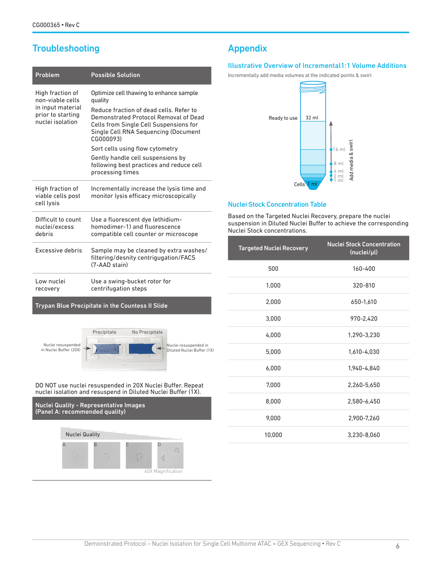## **Troubleshooting**

| Problem                                                                                            | <b>Possible Solution</b>                                                                                                                                                                                                                                                                                                                                                      |
|----------------------------------------------------------------------------------------------------|-------------------------------------------------------------------------------------------------------------------------------------------------------------------------------------------------------------------------------------------------------------------------------------------------------------------------------------------------------------------------------|
| High fraction of<br>non-viable cells<br>in input material<br>prior to starting<br>nuclei isolation | Optimize cell thawing to enhance sample<br>quality<br>Reduce fraction of dead cells. Refer to<br>Demonstrated Protocol Removal of Dead<br>Cells from Single Cell Suspensions for<br>Single Cell RNA Sequencing (Document<br>CG000093)<br>Sort cells using flow cytometry<br>Gently handle cell suspensions by<br>following best practices and reduce cell<br>processing times |
| High fraction of<br>viable cells post<br>cell lysis                                                | Incrementally increase the lysis time and<br>monitor lysis efficacy microscopically                                                                                                                                                                                                                                                                                           |
| Difficult to count<br>nuclei/excess<br>debris                                                      | Use a fluorescent dye (ethidium-<br>homodimer-1) and fluorescence<br>compatible cell counter or microscope                                                                                                                                                                                                                                                                    |
| Excessive debris                                                                                   | Sample may be cleaned by extra washes/<br>filtering/desnity centriqugation/FACS<br>(7-AAD stain)                                                                                                                                                                                                                                                                              |
| Low nuclei<br>recovery                                                                             | Use a swing-bucket rotor for<br>centrifugation steps                                                                                                                                                                                                                                                                                                                          |

Trypan Blue Precipitate in the Countess II Slide



#### DO NOT use nuclei resuspended in 20X Nuclei Buffer. Repeat nuclei isolation and resuspend in Diluted Nuclei Buffer (1X).



### Appendix

#### Illustrative Overview of Incremental1:1 Volume Additions

Incrementally add media volumes at the indicated points & swirl



#### Nuclei Stock Concentration Table

Based on the Targeted Nuclei Recovery, prepare the nuclei suspension in Diluted Nuclei Buffer to achieve the corresponding Nuclei Stock concentrations.

| <b>Targeted Nuclei Recovery</b> | <b>Nuclei Stock Concentration</b><br>(nuclei/µl) |
|---------------------------------|--------------------------------------------------|
| 500                             | 160-400                                          |
| 1,000                           | 320-810                                          |
| 2,000                           | 650-1,610                                        |
| 3,000                           | 970-2,420                                        |
| 4,000                           | 1,290-3,230                                      |
| 5,000                           | 1,610-4,030                                      |
| 6,000                           | 1,940-4,840                                      |
| 7,000                           | 2,260-5,650                                      |
| 8,000                           | 2,580-6,450                                      |
| 9,000                           | 2,900-7,260                                      |
| 10,000                          | 3,230-8,060                                      |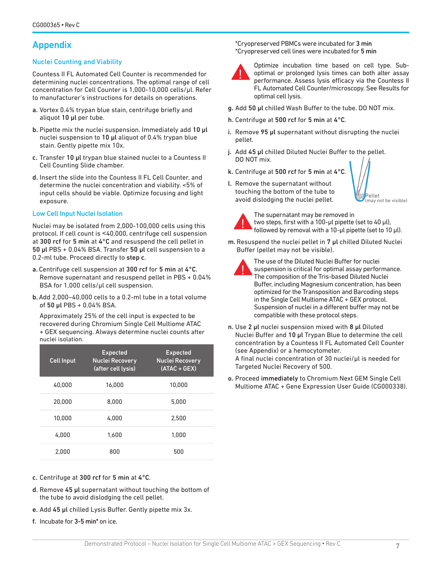### Appendix

#### Nuclei Counting and Viability

Countess II FL Automated Cell Counter is recommended for determining nuclei concentrations. The optimal range of cell concentration for Cell Counter is 1,000-10,000 cells/µl. Refer to manufacturer's instructions for details on operations.

- a. Vortex 0.4% trypan blue stain, centrifuge briefly and aliquot 10 µl per tube.
- b. Pipette mix the nuclei suspension. Immediately add 10 µl nuclei suspension to 10 µl aliquot of 0.4% trypan blue stain. Gently pipette mix 10x.
- c. Transfer 10 µl trypan blue stained nuclei to a Countess II Cell Counting Slide chamber.
- d. Insert the slide into the Countess II FL Cell Counter, and determine the nuclei concentration and viability. <5% of input cells should be viable. Optimize focusing and light exposure.

#### Low Cell Input Nuclei Isolation

Nuclei may be isolated from 2,000-100,000 cells using this protocol. If cell count is ˂40,000, centrifuge cell suspension at 300 rcf for 5 min at 4°C and resuspend the cell pellet in 50 µl PBS + 0.04% BSA. Transfer 50 µl cell suspension to a 0.2-ml tube. Proceed directly to step c.

- a. Centrifuge cell suspension at 300 rcf for 5 min at 4°C. Remove supernatant and resuspend pellet in PBS + 0.04% BSA for 1,000 cells/µl cell suspension.
- b.Add 2,000–40,000 cells to a 0.2-ml tube in a total volume of 50 µl PBS + 0.04% BSA.

Approximately 25% of the cell input is expected to be recovered during Chromium Single Cell Multiome ATAC + GEX sequencing. Always determine nuclei counts after nuclei isolation.

| <b>Cell Input</b> | <b>Expected</b><br><b>Nuclei Recovery</b><br>(after cell lysis) | <b>Expected</b><br><b>Nuclei Recovery</b><br>$(ATAC + GEX)$ |
|-------------------|-----------------------------------------------------------------|-------------------------------------------------------------|
| 40.000            | 16.000                                                          | 10.000                                                      |
| 20,000            | 8.000                                                           | 5.000                                                       |
| 10.000            | 4.000                                                           | 2.500                                                       |
| 4.000             | 1.600                                                           | 1.000                                                       |
| 2.000             | 800                                                             | 500                                                         |

- c. Centrifuge at 300 rcf for 5 min at 4°C.
- d. Remove 45 µl supernatant without touching the bottom of the tube to avoid dislodging the cell pellet.
- e. Add 45 µl chilled Lysis Buffer. Gently pipette mix 3x.
- f. Incubate for 3-5 min\* on ice.

\*Cryopreserved PBMCs were incubated for 3 min \*Cryopreserved cell lines were incubated for 5 min



Optimize incubation time based on cell type. Suboptimal or prolonged lysis times can both alter assay performance. Assess lysis efficacy via the Countess II FL Automated Cell Counter/microscopy. See Results for optimal cell lysis.

- g. Add 50 µl chilled Wash Buffer to the tube. DO NOT mix.
- h. Centrifuge at 500 rcf for 5 min at 4°C.
- i. Remove 95 µl supernatant without disrupting the nuclei pellet.
- j. Add 45 µl chilled Diluted Nuclei Buffer to the pellet. DO NOT mix.
- k. Centrifuge at 500 rcf for 5 min at 4°C.
- l. Remove the supernatant without touching the bottom of the tube to avoid dislodging the nuclei pellet.



The supernatant may be removed in two steps, first with a 100-µl pipette (set to 40 µl), followed by removal with a 10-µl pipette (set to 10 µl).

'ellet may not be visible)

m. Resuspend the nuclei pellet in 7 µl chilled Diluted Nuclei Buffer (pellet may not be visible).



The use of the Diluted Nuclei Buffer for nuclei suspension is critical for optimal assay performance. The composition of the Tris-based Diluted Nuclei Buffer, including Magnesium concentration, has been optimized for the Transposition and Barcoding steps in the Single Cell Multiome ATAC + GEX protocol. Suspension of nuclei in a different buffer may not be compatible with these protocol steps.

- n. Use 2 µl nuclei suspension mixed with 8 µl Diluted Nuclei Buffer and 10 µl Trypan Blue to determine the cell concentration by a Countess II FL Automated Cell Counter (see Appendix) or a hemocytometer. A final nuclei concentration of 30 nuclei/µl is needed for Targeted Nuclei Recovery of 500.
- o. Proceed immediately to Chromium Next GEM Single Cell Multiome ATAC + Gene Expression User Guide (CG000338).